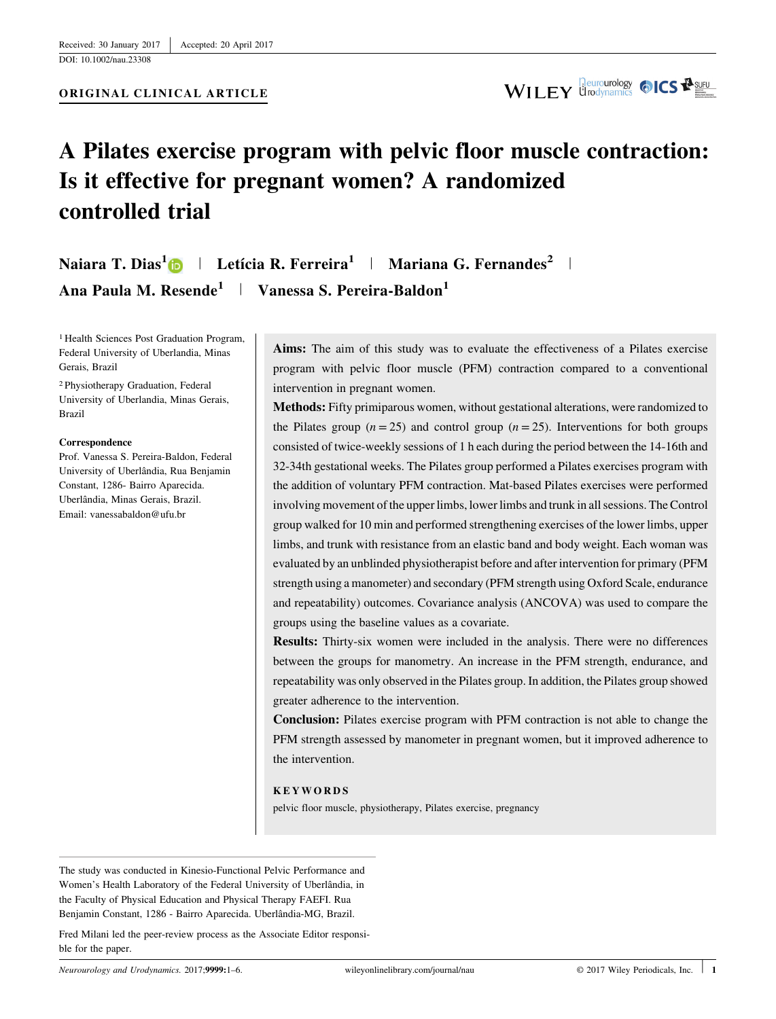

# A Pilates exercise program with pelvic floor muscle contraction: Is it effective for pregnant women? A randomized controlled trial

Naiara T. Dias<sup>1</sup> **D** | Letícia R. Ferreira<sup>1</sup> | Mariana G. Fernandes<sup>2</sup> | Ana Paula M. Resende<sup>1</sup> | Vanessa S. Pereira-Baldon<sup>1</sup>

1 Health Sciences Post Graduation Program, Federal University of Uberlandia, Minas Gerais, Brazil

2 Physiotherapy Graduation, Federal University of Uberlandia, Minas Gerais, Brazil

#### Correspondence

Prof. Vanessa S. Pereira-Baldon, Federal University of Uberlândia, Rua Benjamin Constant, 1286- Bairro Aparecida. Uberlândia, Minas Gerais, Brazil. Email: vanessabaldon@ufu.br

Aims: The aim of this study was to evaluate the effectiveness of a Pilates exercise program with pelvic floor muscle (PFM) contraction compared to a conventional intervention in pregnant women.

Methods: Fifty primiparous women, without gestational alterations, were randomized to the Pilates group ( $n = 25$ ) and control group ( $n = 25$ ). Interventions for both groups consisted of twice-weekly sessions of 1 h each during the period between the 14-16th and 32-34th gestational weeks. The Pilates group performed a Pilates exercises program with the addition of voluntary PFM contraction. Mat-based Pilates exercises were performed involving movement of the upper limbs, lower limbs and trunk in all sessions. The Control group walked for 10 min and performed strengthening exercises of the lower limbs, upper limbs, and trunk with resistance from an elastic band and body weight. Each woman was evaluated by an unblinded physiotherapist before and after intervention for primary (PFM strength using a manometer) and secondary (PFM strength using Oxford Scale, endurance and repeatability) outcomes. Covariance analysis (ANCOVA) was used to compare the groups using the baseline values as a covariate.

Results: Thirty-six women were included in the analysis. There were no differences between the groups for manometry. An increase in the PFM strength, endurance, and repeatability was only observed in the Pilates group. In addition, the Pilates group showed greater adherence to the intervention.

Conclusion: Pilates exercise program with PFM contraction is not able to change the PFM strength assessed by manometer in pregnant women, but it improved adherence to the intervention.

#### KEYWORDS

pelvic floor muscle, physiotherapy, Pilates exercise, pregnancy

Fred Milani led the peer-review process as the Associate Editor responsible for the paper.

The study was conducted in Kinesio-Functional Pelvic Performance and Women's Health Laboratory of the Federal University of Uberlândia, in the Faculty of Physical Education and Physical Therapy FAEFI. Rua Benjamin Constant, 1286 - Bairro Aparecida. Uberlândia-MG, Brazil.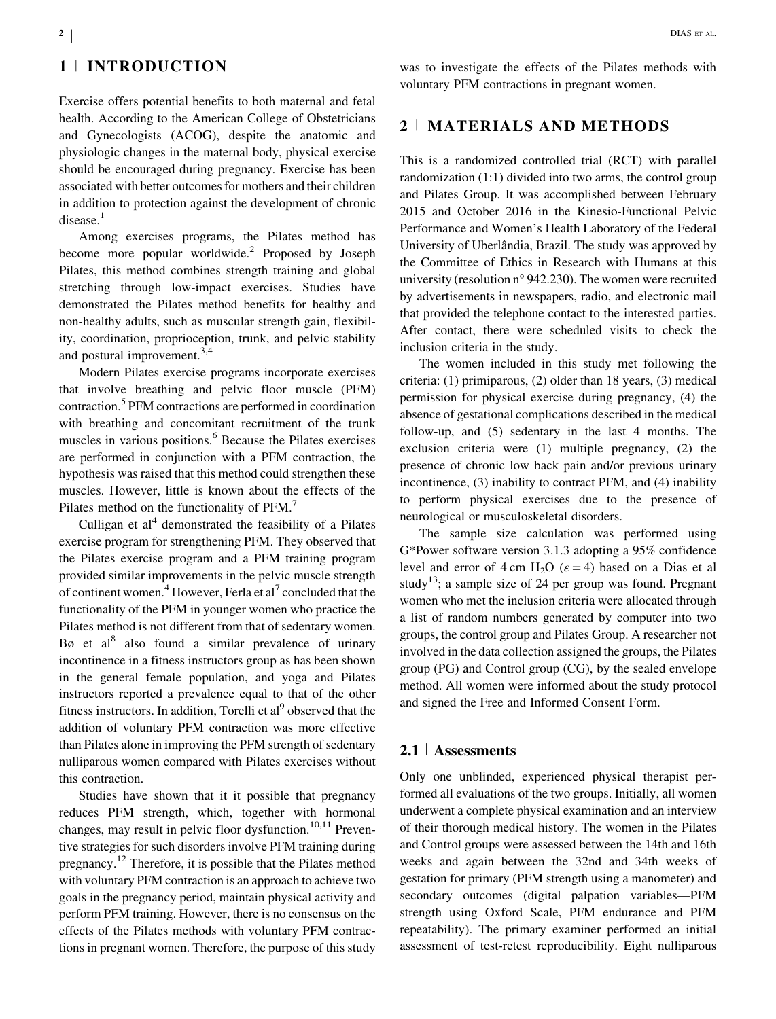## 1 <sup>|</sup> INTRODUCTION

Exercise offers potential benefits to both maternal and fetal health. According to the American College of Obstetricians and Gynecologists (ACOG), despite the anatomic and physiologic changes in the maternal body, physical exercise should be encouraged during pregnancy. Exercise has been associated with better outcomes for mothers and their children in addition to protection against the development of chronic disease.<sup>[1](#page-5-0)</sup>

Among exercises programs, the Pilates method has become more popular worldwide.<sup>2</sup> [Proposed by Joseph](#page-5-0) Pilates, this method combines strength training and global stretching through low-impact exercises. Studies have demonstrated the Pilates method benefits for healthy and non-healthy adults, such as muscular strength gain, flexibility, coordination, proprioception, trunk, and pelvic stability and postural improvement.<sup>[3,4](#page-5-0)</sup>

Modern Pilates exercise programs incorporate exercises that involve breathing and pelvic floor muscle (PFM) contraction.<sup>5</sup> [PFM contractions are performed in coordination](#page-5-0) with breathing and concomitant recruitment of the trunk muscles in various positions.<sup>6</sup> [Because the Pilates exercises](#page-5-0) are performed in conjunction with a PFM contraction, the hypothesis was raised that this method could strengthen these muscles. However, little is known about the effects of the Pilates method on the functionality of PFM.<sup>7</sup>

Culligan et  $al<sup>4</sup>$  [demonstrated the feasibility of a Pilates](#page-5-0) exercise program for strengthening PFM. They observed that the Pilates exercise program and a PFM training program provided similar improvements in the pelvic muscle strength of continent women.<sup>4</sup> [However, Ferla et al](#page-5-0)<sup>7</sup> [concluded that the](#page-5-0) functionality of the PFM in younger women who practice the Pilates method is not different from that of sedentary women. Bø et al<sup>8</sup> [also found a similar prevalence of urinary](#page-5-0) incontinence in a fitness instructors group as has been shown in the general female population, and yoga and Pilates instructors reported a prevalence equal to that of the other fitness instructors. In addition, Torelli et  $al^9$  [observed that the](#page-5-0) addition of voluntary PFM contraction was more effective than Pilates alone in improving the PFM strength of sedentary nulliparous women compared with Pilates exercises without this contraction.

Studies have shown that it it possible that pregnancy reduces PFM strength, which, together with hormonal changes, may result in pelvic floor dysfunction.<sup>10,11</sup> [Preven](#page-5-0)tive strategies for such disorders involve PFM training during pregnancy.<sup>12</sup> [Therefore, it is possible that the Pilates method](#page-5-0) with voluntary PFM contraction is an approach to achieve two goals in the pregnancy period, maintain physical activity and perform PFM training. However, there is no consensus on the effects of the Pilates methods with voluntary PFM contractions in pregnant women. Therefore, the purpose of this study

was to investigate the effects of the Pilates methods with voluntary PFM contractions in pregnant women.

## 2 <sup>|</sup> MATERIALS AND METHODS

This is a randomized controlled trial (RCT) with parallel randomization (1:1) divided into two arms, the control group and Pilates Group. It was accomplished between February 2015 and October 2016 in the Kinesio-Functional Pelvic Performance and Women's Health Laboratory of the Federal University of Uberlândia, Brazil. The study was approved by the Committee of Ethics in Research with Humans at this university (resolution n° 942.230). The women were recruited by advertisements in newspapers, radio, and electronic mail that provided the telephone contact to the interested parties. After contact, there were scheduled visits to check the inclusion criteria in the study.

The women included in this study met following the criteria: (1) primiparous, (2) older than 18 years, (3) medical permission for physical exercise during pregnancy, (4) the absence of gestational complications described in the medical follow-up, and (5) sedentary in the last 4 months. The exclusion criteria were (1) multiple pregnancy, (2) the presence of chronic low back pain and/or previous urinary incontinence, (3) inability to contract PFM, and (4) inability to perform physical exercises due to the presence of neurological or musculoskeletal disorders.

The sample size calculation was performed using G\*Power software version 3.1.3 adopting a 95% confidence level and error of 4 cm H<sub>2</sub>O ( $\varepsilon$  = 4) based on a Dias et al study<sup>13</sup>; a sample size of 24 per group was found. Pregnant women who met the inclusion criteria were allocated through a list of random numbers generated by computer into two groups, the control group and Pilates Group. A researcher not involved in the data collection assigned the groups, the Pilates group (PG) and Control group (CG), by the sealed envelope method. All women were informed about the study protocol and signed the Free and Informed Consent Form.

#### 2.1 <sup>|</sup> Assessments

Only one unblinded, experienced physical therapist performed all evaluations of the two groups. Initially, all women underwent a complete physical examination and an interview of their thorough medical history. The women in the Pilates and Control groups were assessed between the 14th and 16th weeks and again between the 32nd and 34th weeks of gestation for primary (PFM strength using a manometer) and secondary outcomes (digital palpation variables—PFM strength using Oxford Scale, PFM endurance and PFM repeatability). The primary examiner performed an initial assessment of test-retest reproducibility. Eight nulliparous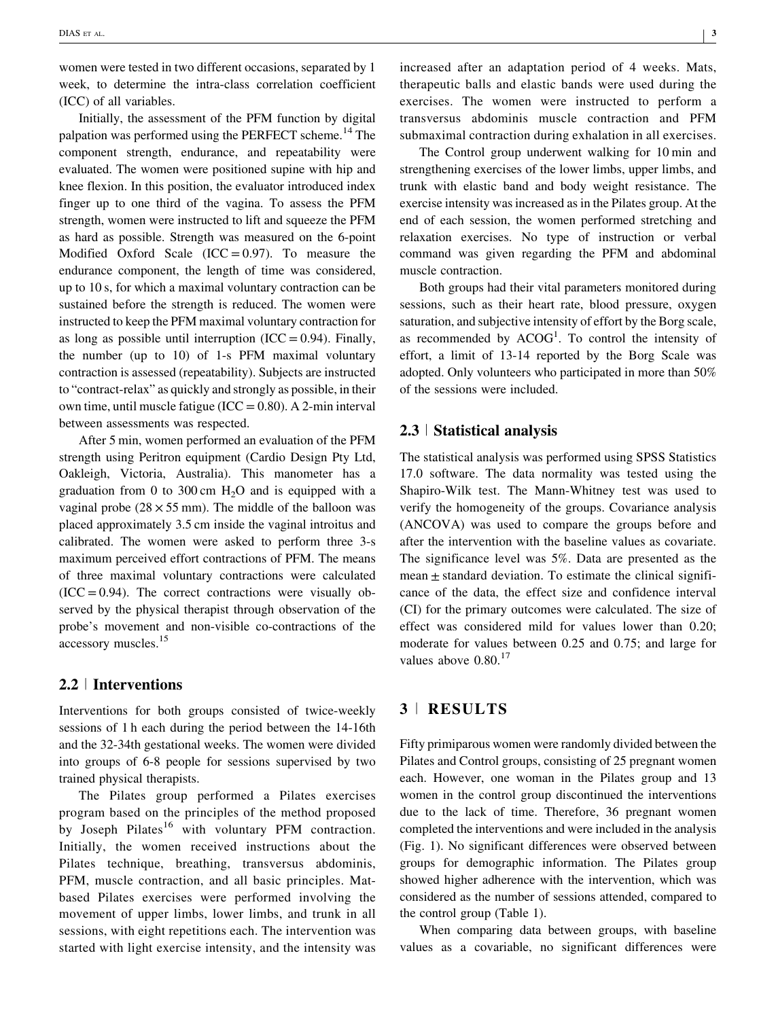women were tested in two different occasions, separated by 1 week, to determine the intra-class correlation coefficient (ICC) of all variables.

Initially, the assessment of the PFM function by digital palpation was performed using the PERFECT scheme.<sup>14</sup> [The](#page-5-0) component strength, endurance, and repeatability were evaluated. The women were positioned supine with hip and knee flexion. In this position, the evaluator introduced index finger up to one third of the vagina. To assess the PFM strength, women were instructed to lift and squeeze the PFM as hard as possible. Strength was measured on the 6-point Modified Oxford Scale  $(ICC = 0.97)$ . To measure the endurance component, the length of time was considered, up to 10 s, for which a maximal voluntary contraction can be sustained before the strength is reduced. The women were instructed to keep the PFM maximal voluntary contraction for as long as possible until interruption  $(ICC = 0.94)$ . Finally, the number (up to 10) of 1-s PFM maximal voluntary contraction is assessed (repeatability). Subjects are instructed to "contract-relax" as quickly and strongly as possible, in their own time, until muscle fatigue  $(ICC = 0.80)$ . A 2-min interval between assessments was respected.

After 5 min, women performed an evaluation of the PFM strength using Peritron equipment (Cardio Design Pty Ltd, Oakleigh, Victoria, Australia). This manometer has a graduation from 0 to 300 cm  $H<sub>2</sub>O$  and is equipped with a vaginal probe  $(28 \times 55 \text{ mm})$ . The middle of the balloon was placed approximately 3.5 cm inside the vaginal introitus and calibrated. The women were asked to perform three 3-s maximum perceived effort contractions of PFM. The means of three maximal voluntary contractions were calculated  $(ICC = 0.94)$ . The correct contractions were visually observed by the physical therapist through observation of the probe's movement and non-visible co-contractions of the accessory muscles.[15](#page-5-0)

#### 2.2 <sup>|</sup> Interventions

Interventions for both groups consisted of twice-weekly sessions of 1 h each during the period between the 14-16th and the 32-34th gestational weeks. The women were divided into groups of 6-8 people for sessions supervised by two trained physical therapists.

The Pilates group performed a Pilates exercises program based on the principles of the method proposed by Joseph Pilates<sup>16</sup> [with voluntary PFM contraction.](#page-5-0) Initially, the women received instructions about the Pilates technique, breathing, transversus abdominis, PFM, muscle contraction, and all basic principles. Matbased Pilates exercises were performed involving the movement of upper limbs, lower limbs, and trunk in all sessions, with eight repetitions each. The intervention was started with light exercise intensity, and the intensity was increased after an adaptation period of 4 weeks. Mats, therapeutic balls and elastic bands were used during the exercises. The women were instructed to perform a transversus abdominis muscle contraction and PFM submaximal contraction during exhalation in all exercises.

The Control group underwent walking for 10 min and strengthening exercises of the lower limbs, upper limbs, and trunk with elastic band and body weight resistance. The exercise intensity was increased as in the Pilates group. At the end of each session, the women performed stretching and relaxation exercises. No type of instruction or verbal command was given regarding the PFM and abdominal muscle contraction.

Both groups had their vital parameters monitored during sessions, such as their heart rate, blood pressure, oxygen saturation, and subjective intensity of effort by the Borg scale, as recommended by  $ACOG<sup>1</sup>$ [. To control the intensity of](#page-5-0) effort, a limit of 13-14 reported by the Borg Scale was adopted. Only volunteers who participated in more than 50% of the sessions were included.

## 2.3 <sup>|</sup> Statistical analysis

The statistical analysis was performed using SPSS Statistics 17.0 software. The data normality was tested using the Shapiro-Wilk test. The Mann-Whitney test was used to verify the homogeneity of the groups. Covariance analysis (ANCOVA) was used to compare the groups before and after the intervention with the baseline values as covariate. The significance level was 5%. Data are presented as the mean  $\pm$  standard deviation. To estimate the clinical significance of the data, the effect size and confidence interval (CI) for the primary outcomes were calculated. The size of effect was considered mild for values lower than 0.20; moderate for values between 0.25 and 0.75; and large for values above  $0.80$ .<sup>[17](#page-5-0)</sup>

### 3 <sup>|</sup> RESULTS

Fifty primiparous women were randomly divided between the Pilates and Control groups, consisting of 25 pregnant women each. However, one woman in the Pilates group and 13 women in the control group discontinued the interventions due to the lack of time. Therefore, 36 pregnant women completed the interventions and were included in the analysis (Fig. 1). No significant differences were observed between groups for demographic information. The Pilates group showed higher adherence with the intervention, which was considered as the number of sessions attended, compared to the control group (Table [1\)](#page-4-0).

When comparing data between groups, with baseline values as a covariable, no significant differences were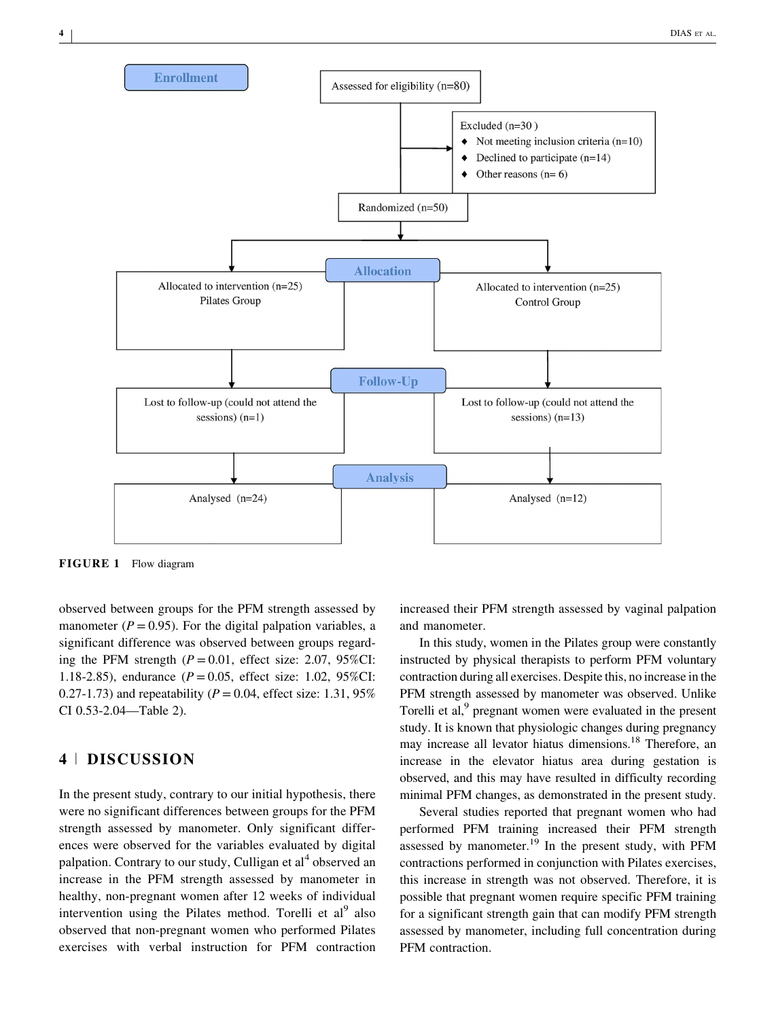

FIGURE 1 Flow diagram

observed between groups for the PFM strength assessed by manometer ( $P = 0.95$ ). For the digital palpation variables, a significant difference was observed between groups regarding the PFM strength  $(P = 0.01$ , effect size: 2.07, 95%CI: 1.18-2.85), endurance  $(P = 0.05$ , effect size: 1.02, 95%CI: 0.27-1.73) and repeatability ( $P = 0.04$ , effect size: 1.31, 95% CI 0.53-2.04—Table [2](#page-4-0)).

## 4 <sup>|</sup> DISCUSSION

In the present study, contrary to our initial hypothesis, there were no significant differences between groups for the PFM strength assessed by manometer. Only significant differences were observed for the variables evaluated by digital palpation. Contrary to our study, Culligan et  $al<sup>4</sup>$  [observed an](#page-5-0) increase in the PFM strength assessed by manometer in healthy, non-pregnant women after 12 weeks of individual intervention using the Pilates method. Torelli et  $al^9$  [also](#page-5-0) observed that non-pregnant women who performed Pilates exercises with verbal instruction for PFM contraction

increased their PFM strength assessed by vaginal palpation and manometer.

In this study, women in the Pilates group were constantly instructed by physical therapists to perform PFM voluntary contraction during all exercises. Despite this, no increase in the PFM strength assessed by manometer was observed. Unlike Torelli et al,<sup>9</sup> [pregnant women were evaluated in the present](#page-5-0) study. It is known that physiologic changes during pregnancy may increase all levator hiatus dimensions.18 [Therefore, an](#page-5-0) increase in the elevator hiatus area during gestation is observed, and this may have resulted in difficulty recording minimal PFM changes, as demonstrated in the present study.

Several studies reported that pregnant women who had performed PFM training increased their PFM strength assessed by manometer.<sup>19</sup> [In the present study, with PFM](#page-5-0) contractions performed in conjunction with Pilates exercises, this increase in strength was not observed. Therefore, it is possible that pregnant women require specific PFM training for a significant strength gain that can modify PFM strength assessed by manometer, including full concentration during PFM contraction.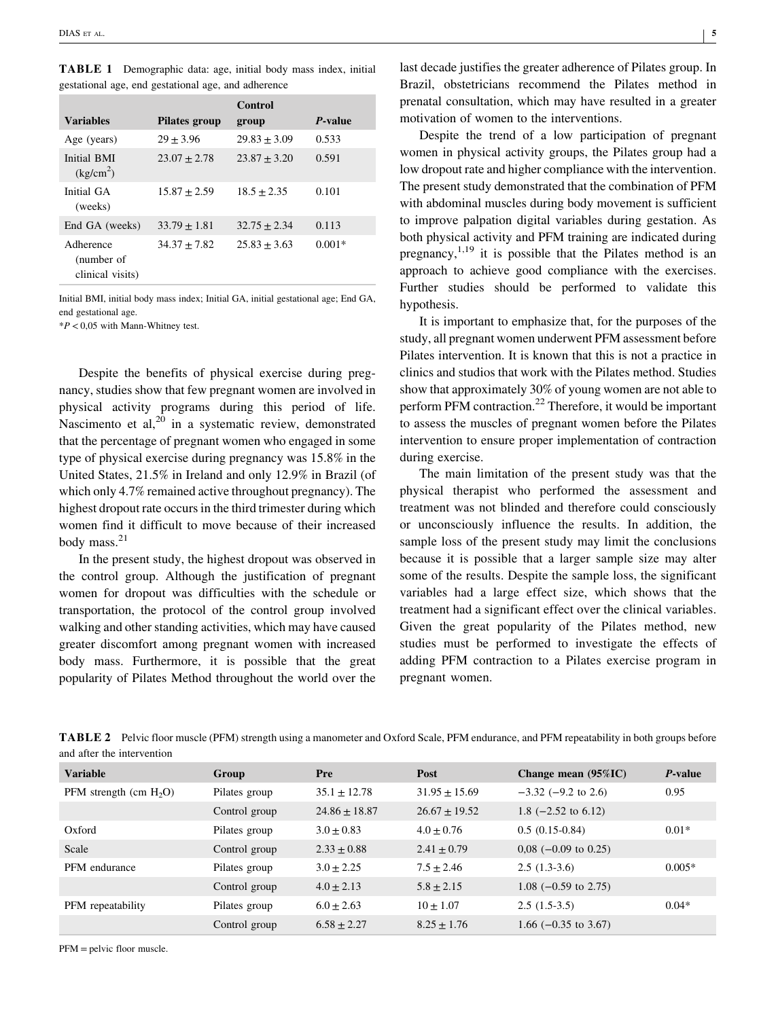|                                                    |                      | Control          |          |  |
|----------------------------------------------------|----------------------|------------------|----------|--|
| <b>Variables</b>                                   | <b>Pilates group</b> | group            | P-value  |  |
| Age (years)                                        | $29 + 3.96$          | $29.83 + 3.09$   | 0.533    |  |
| Initial BMI<br>$\frac{\text{kg/cm}^2}{\text{m}^2}$ | $23.07 + 2.78$       | $23.87 + 3.20$   | 0.591    |  |
| Initial GA<br>(weeks)                              | $15.87 + 2.59$       | $18.5 + 2.35$    | 0.101    |  |
| End GA (weeks)                                     | $33.79 + 1.81$       | $32.75 + 2.34$   | 0.113    |  |
| Adherence<br>(number of<br>clinical visits)        | $34.37 + 7.82$       | $25.83 \pm 3.63$ | $0.001*$ |  |

<span id="page-4-0"></span>TABLE 1 Demographic data: age, initial body mass index, initial gestational age, end gestational age, and adherence

Initial BMI, initial body mass index; Initial GA, initial gestational age; End GA, end gestational age.

 $*P < 0.05$  with Mann-Whitney test.

Despite the benefits of physical exercise during pregnancy, studies show that few pregnant women are involved in physical activity programs during this period of life. Nascimento et al, $^{20}$  [in a systematic review, demonstrated](#page-5-0) that the percentage of pregnant women who engaged in some type of physical exercise during pregnancy was 15.8% in the United States, 21.5% in Ireland and only 12.9% in Brazil (of which only 4.7% remained active throughout pregnancy). The highest dropout rate occurs in the third trimester during which women find it difficult to move because of their increased body mass.[21](#page-5-0)

In the present study, the highest dropout was observed in the control group. Although the justification of pregnant women for dropout was difficulties with the schedule or transportation, the protocol of the control group involved walking and other standing activities, which may have caused greater discomfort among pregnant women with increased body mass. Furthermore, it is possible that the great popularity of Pilates Method throughout the world over the

last decade justifies the greater adherence of Pilates group. In Brazil, obstetricians recommend the Pilates method in prenatal consultation, which may have resulted in a greater motivation of women to the interventions.

Despite the trend of a low participation of pregnant women in physical activity groups, the Pilates group had a low dropout rate and higher compliance with the intervention. The present study demonstrated that the combination of PFM with abdominal muscles during body movement is sufficient to improve palpation digital variables during gestation. As both physical activity and PFM training are indicated during pregnancy,<sup> $1,19$ </sup> [it is possible that the Pilates method is an](#page-5-0) approach to achieve good compliance with the exercises. Further studies should be performed to validate this hypothesis.

It is important to emphasize that, for the purposes of the study, all pregnant women underwent PFM assessment before Pilates intervention. It is known that this is not a practice in clinics and studios that work with the Pilates method. Studies show that approximately 30% of young women are not able to perform PFM contraction.22 [Therefore, it would be important](#page-5-0) to assess the muscles of pregnant women before the Pilates intervention to ensure proper implementation of contraction during exercise.

The main limitation of the present study was that the physical therapist who performed the assessment and treatment was not blinded and therefore could consciously or unconsciously influence the results. In addition, the sample loss of the present study may limit the conclusions because it is possible that a larger sample size may alter some of the results. Despite the sample loss, the significant variables had a large effect size, which shows that the treatment had a significant effect over the clinical variables. Given the great popularity of the Pilates method, new studies must be performed to investigate the effects of adding PFM contraction to a Pilates exercise program in pregnant women.

TABLE 2 Pelvic floor muscle (PFM) strength using a manometer and Oxford Scale, PFM endurance, and PFM repeatability in both groups before and after the intervention

| <b>Variable</b>         | Group         | Pre              | Post            | Change mean $(95\%$ IC)         | P-value  |
|-------------------------|---------------|------------------|-----------------|---------------------------------|----------|
| PFM strength $(cm H2O)$ | Pilates group | $35.1 \pm 12.78$ | $31.95 + 15.69$ | $-3.32$ ( $-9.2$ to 2.6)        | 0.95     |
|                         | Control group | $24.86 + 18.87$  | $26.67 + 19.52$ | 1.8 $(-2.52 \text{ to } 6.12)$  |          |
| Oxford                  | Pilates group | $3.0 + 0.83$     | $4.0 + 0.76$    | $0.5(0.15-0.84)$                | $0.01*$  |
| Scale                   | Control group | $2.33 \pm 0.88$  | $2.41 + 0.79$   | $0.08$ (-0.09 to 0.25)          |          |
| PFM endurance           | Pilates group | $3.0 \pm 2.25$   | $7.5 + 2.46$    | $2.5(1.3-3.6)$                  | $0.005*$ |
|                         | Control group | $4.0 \pm 2.13$   | $5.8 \pm 2.15$  | $1.08$ (-0.59 to 2.75)          |          |
| PFM repeatability       | Pilates group | $6.0 \pm 2.63$   | $10 + 1.07$     | $2.5(1.5-3.5)$                  | $0.04*$  |
|                         | Control group | $6.58 \pm 2.27$  | $8.25 \pm 1.76$ | 1.66 $(-0.35 \text{ to } 3.67)$ |          |

PFM = pelvic floor muscle.